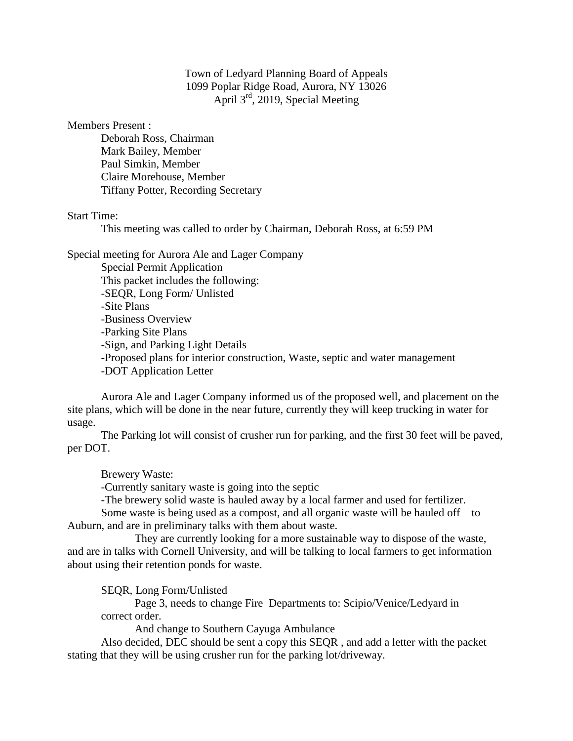Town of Ledyard Planning Board of Appeals 1099 Poplar Ridge Road, Aurora, NY 13026 April 3rd, 2019, Special Meeting

Members Present :

Deborah Ross, Chairman Mark Bailey, Member Paul Simkin, Member Claire Morehouse, Member Tiffany Potter, Recording Secretary

Start Time:

This meeting was called to order by Chairman, Deborah Ross, at 6:59 PM

Special meeting for Aurora Ale and Lager Company

Special Permit Application This packet includes the following: -SEQR, Long Form/ Unlisted -Site Plans -Business Overview -Parking Site Plans -Sign, and Parking Light Details -Proposed plans for interior construction, Waste, septic and water management -DOT Application Letter

Aurora Ale and Lager Company informed us of the proposed well, and placement on the site plans, which will be done in the near future, currently they will keep trucking in water for usage.

The Parking lot will consist of crusher run for parking, and the first 30 feet will be paved, per DOT.

Brewery Waste:

-Currently sanitary waste is going into the septic

-The brewery solid waste is hauled away by a local farmer and used for fertilizer.

Some waste is being used as a compost, and all organic waste will be hauled off to Auburn, and are in preliminary talks with them about waste.

They are currently looking for a more sustainable way to dispose of the waste, and are in talks with Cornell University, and will be talking to local farmers to get information about using their retention ponds for waste.

SEQR, Long Form/Unlisted

Page 3, needs to change Fire Departments to: Scipio/Venice/Ledyard in correct order.

And change to Southern Cayuga Ambulance

Also decided, DEC should be sent a copy this SEQR , and add a letter with the packet stating that they will be using crusher run for the parking lot/driveway.